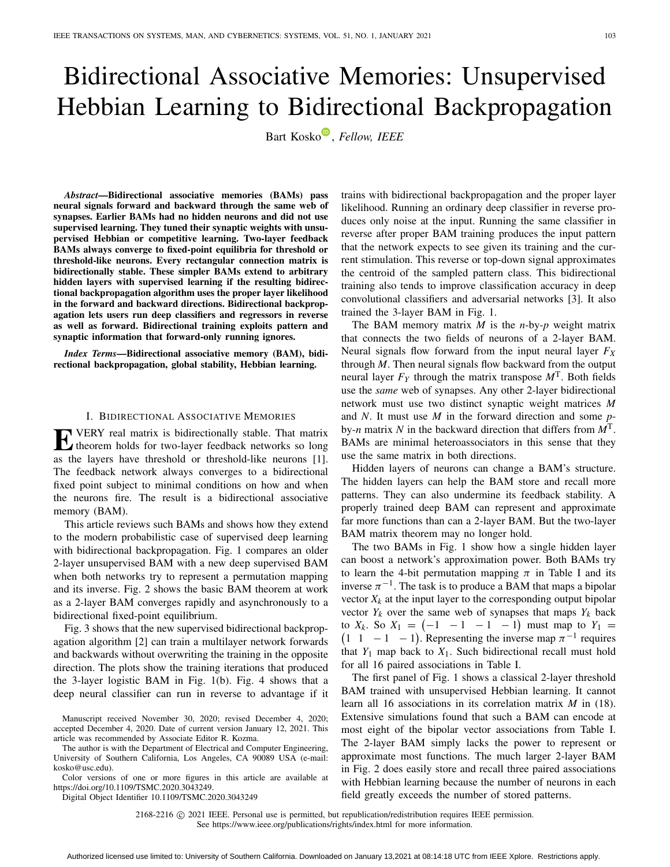# Bidirectional Associative Memories: Unsupervised Hebbian Learning to Bidirectional Backpropagation

Bart Kosko<sup>®</sup>[,](https://orcid.org/0000-0003-4745-8986) *Fellow, IEEE* 

*Abstract***—Bidirectional associative memories (BAMs) pass neural signals forward and backward through the same web of synapses. Earlier BAMs had no hidden neurons and did not use supervised learning. They tuned their synaptic weights with unsupervised Hebbian or competitive learning. Two-layer feedback BAMs always converge to fixed-point equilibria for threshold or threshold-like neurons. Every rectangular connection matrix is bidirectionally stable. These simpler BAMs extend to arbitrary hidden layers with supervised learning if the resulting bidirectional backpropagation algorithm uses the proper layer likelihood in the forward and backward directions. Bidirectional backpropagation lets users run deep classifiers and regressors in reverse as well as forward. Bidirectional training exploits pattern and synaptic information that forward-only running ignores.**

*Index Terms***—Bidirectional associative memory (BAM), bidirectional backpropagation, global stability, Hebbian learning.**

#### I. BIDIRECTIONAL ASSOCIATIVE MEMORIES

**E** VERY real matrix is bidirectionally stable. That matrix theorem holds for two-layer feedback networks so long as the layers have threshold or threshold-like neurons [\[1\]](#page-12-0). The feedback network always converges to a bidirectional fixed point subject to minimal conditions on how and when the neurons fire. The result is a bidirectional associative memory (BAM).

This article reviews such BAMs and shows how they extend to the modern probabilistic case of supervised deep learning with bidirectional backpropagation. Fig. [1](#page-1-0) compares an older 2-layer unsupervised BAM with a new deep supervised BAM when both networks try to represent a permutation mapping and its inverse. Fig. [2](#page-4-0) shows the basic BAM theorem at work as a 2-layer BAM converges rapidly and asynchronously to a bidirectional fixed-point equilibrium.

Fig. [3](#page-9-0) shows that the new supervised bidirectional backpropagation algorithm [\[2\]](#page-12-1) can train a multilayer network forwards and backwards without overwriting the training in the opposite direction. The plots show the training iterations that produced the 3-layer logistic BAM in Fig. [1\(](#page-1-0)b). Fig. [4](#page-11-0) shows that a deep neural classifier can run in reverse to advantage if it

Manuscript received November 30, 2020; revised December 4, 2020; accepted December 4, 2020. Date of current version January 12, 2021. This article was recommended by Associate Editor R. Kozma.

The author is with the Department of Electrical and Computer Engineering, University of Southern California, Los Angeles, CA 90089 USA (e-mail: kosko@usc.edu).

Color versions of one or more figures in this article are available at https://doi.org/10.1109/TSMC.2020.3043249.

Digital Object Identifier 10.1109/TSMC.2020.3043249

trains with bidirectional backpropagation and the proper layer likelihood. Running an ordinary deep classifier in reverse produces only noise at the input. Running the same classifier in reverse after proper BAM training produces the input pattern that the network expects to see given its training and the current stimulation. This reverse or top-down signal approximates the centroid of the sampled pattern class. This bidirectional training also tends to improve classification accuracy in deep convolutional classifiers and adversarial networks [\[3\]](#page-12-2). It also trained the 3-layer BAM in Fig. [1.](#page-1-0)

The BAM memory matrix *M* is the *n*-by-*p* weight matrix that connects the two fields of neurons of a 2-layer BAM. Neural signals flow forward from the input neural layer *FX* through *M*. Then neural signals flow backward from the output neural layer  $F_Y$  through the matrix transpose  $M<sup>T</sup>$ . Both fields use the *same* web of synapses. Any other 2-layer bidirectional network must use two distinct synaptic weight matrices *M* and *N*. It must use *M* in the forward direction and some *p*by-*n* matrix *N* in the backward direction that differs from *M*T. BAMs are minimal heteroassociators in this sense that they use the same matrix in both directions.

Hidden layers of neurons can change a BAM's structure. The hidden layers can help the BAM store and recall more patterns. They can also undermine its feedback stability. A properly trained deep BAM can represent and approximate far more functions than can a 2-layer BAM. But the two-layer BAM matrix theorem may no longer hold.

The two BAMs in Fig. [1](#page-1-0) show how a single hidden layer can boost a network's approximation power. Both BAMs try to learn the 4-bit permutation mapping  $\pi$  in Table [I](#page-1-1) and its inverse  $\pi^{-1}$ . The task is to produce a BAM that maps a bipolar vector  $X_k$  at the input layer to the corresponding output bipolar vector  $Y_k$  over the same web of synapses that maps  $Y_k$  back to  $X_k$ . So  $X_1 = \begin{pmatrix} -1 & -1 & -1 & -1 \end{pmatrix}$  must map to  $Y_1 =$  $(1 \t1 -1 -1)$ . Representing the inverse map  $\pi^{-1}$  requires that  $Y_1$  map back to  $X_1$ . Such bidirectional recall must hold for all 16 paired associations in Table [I.](#page-1-1)

The first panel of Fig. [1](#page-1-0) shows a classical 2-layer threshold BAM trained with unsupervised Hebbian learning. It cannot learn all 16 associations in its correlation matrix *M* in [\(18\)](#page-5-0). Extensive simulations found that such a BAM can encode at most eight of the bipolar vector associations from Table [I.](#page-1-1) The 2-layer BAM simply lacks the power to represent or approximate most functions. The much larger 2-layer BAM in Fig. [2](#page-4-0) does easily store and recall three paired associations with Hebbian learning because the number of neurons in each field greatly exceeds the number of stored patterns.

2168-2216 © 2021 IEEE. Personal use is permitted, but republication/redistribution requires IEEE permission.

See https://www.ieee.org/publications/rights/index.html for more information.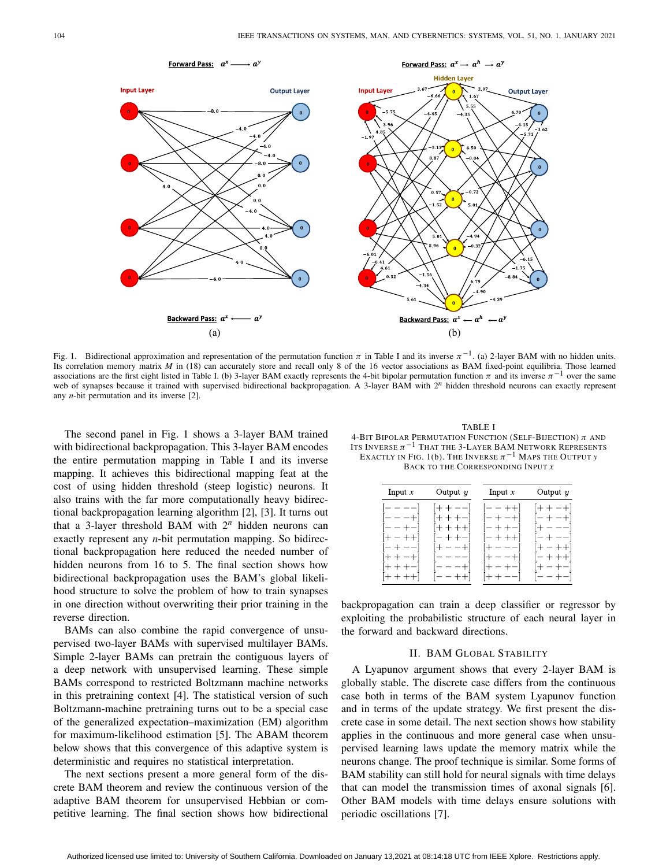

<span id="page-1-0"></span>Fig. 1. Bidirectional approximation and representation of the permutation function  $\pi$  in Table [I](#page-1-1) and its inverse  $\pi^{-1}$ . (a) 2-layer BAM with no hidden units. Its correlation memory matrix *M* in [\(18\)](#page-5-0) can accurately store and recall only 8 of the 16 vector associations as BAM fixed-point equilibria. Those learned associations are the first eight listed in Table [I.](#page-1-1) (b) 3-layer BAM exactly represents the 4-bit bipolar permutation function  $\pi$  and its inverse  $\pi^{-1}$  over the same web of synapses because it trained with supervised bidirectional backpropagation. A 3-layer BAM with  $2^n$  hidden threshold neurons can exactly represent any *n*-bit permutation and its inverse [\[2\]](#page-12-1).

The second panel in Fig. [1](#page-1-0) shows a 3-layer BAM trained with bidirectional backpropagation. This 3-layer BAM encodes the entire permutation mapping in Table [I](#page-1-1) and its inverse mapping. It achieves this bidirectional mapping feat at the cost of using hidden threshold (steep logistic) neurons. It also trains with the far more computationally heavy bidirectional backpropagation learning algorithm [\[2\]](#page-12-1), [\[3\]](#page-12-2). It turns out that a 3-layer threshold BAM with 2*<sup>n</sup>* hidden neurons can exactly represent any *n*-bit permutation mapping. So bidirectional backpropagation here reduced the needed number of hidden neurons from 16 to 5. The final section shows how bidirectional backpropagation uses the BAM's global likelihood structure to solve the problem of how to train synapses in one direction without overwriting their prior training in the reverse direction.

BAMs can also combine the rapid convergence of unsupervised two-layer BAMs with supervised multilayer BAMs. Simple 2-layer BAMs can pretrain the contiguous layers of a deep network with unsupervised learning. These simple BAMs correspond to restricted Boltzmann machine networks in this pretraining context [\[4\]](#page-12-3). The statistical version of such Boltzmann-machine pretraining turns out to be a special case of the generalized expectation–maximization (EM) algorithm for maximum-likelihood estimation [\[5\]](#page-12-4). The ABAM theorem below shows that this convergence of this adaptive system is deterministic and requires no statistical interpretation.

The next sections present a more general form of the discrete BAM theorem and review the continuous version of the adaptive BAM theorem for unsupervised Hebbian or competitive learning. The final section shows how bidirectional

<span id="page-1-1"></span>TABLE I 4-BIT BIPOLAR PERMUTATION FUNCTION (SELF-BIJECTION)  $\pi$  and ITS INVERSE  $\pi^{-1}$  THAT THE 3-LAYER BAM NETWORK REPRESENTS EXACTLY IN FIG. [1\(](#page-1-0)b). THE INVERSE  $\pi^{-1}$  MAPS THE OUTPUT *y* BACK TO THE CORRESPONDING INPUT *x*

| Input $x$              | Output $y$    | Input $x$               | Output $y$                               |
|------------------------|---------------|-------------------------|------------------------------------------|
| –<br>——<br>-- --<br>-+ | $ -$<br>$- -$ | — +<br>$\pm$<br>--<br>۳ | — +<br>$\rightarrow$<br><b>1200</b><br>— |

backpropagation can train a deep classifier or regressor by exploiting the probabilistic structure of each neural layer in the forward and backward directions.

## II. BAM GLOBAL STABILITY

A Lyapunov argument shows that every 2-layer BAM is globally stable. The discrete case differs from the continuous case both in terms of the BAM system Lyapunov function and in terms of the update strategy. We first present the discrete case in some detail. The next section shows how stability applies in the continuous and more general case when unsupervised learning laws update the memory matrix while the neurons change. The proof technique is similar. Some forms of BAM stability can still hold for neural signals with time delays that can model the transmission times of axonal signals [\[6\]](#page-12-5). Other BAM models with time delays ensure solutions with periodic oscillations [\[7\]](#page-12-6).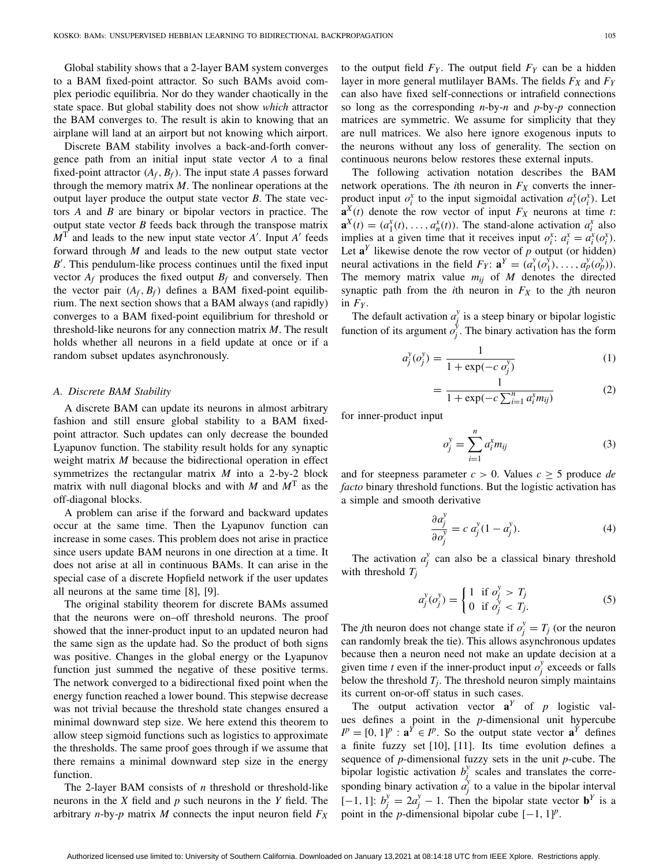Global stability shows that a 2-layer BAM system converges to a BAM fixed-point attractor. So such BAMs avoid complex periodic equilibria. Nor do they wander chaotically in the state space. But global stability does not show *which* attractor the BAM converges to. The result is akin to knowing that an airplane will land at an airport but not knowing which airport.

Discrete BAM stability involves a back-and-forth convergence path from an initial input state vector *A* to a final fixed-point attractor  $(A_f, B_f)$ . The input state *A* passes forward through the memory matrix *M*. The nonlinear operations at the output layer produce the output state vector  $B$ . The state vectors *A* and *B* are binary or bipolar vectors in practice. The output state vector *B* feeds back through the transpose matrix  $M<sup>T</sup>$  and leads to the new input state vector *A'*. Input *A'* feeds forward through *M* and leads to the new output state vector *B* . This pendulum-like process continues until the fixed input vector  $A_f$  produces the fixed output  $B_f$  and conversely. Then the vector pair  $(A_f, B_f)$  defines a BAM fixed-point equilibrium. The next section shows that a BAM always (and rapidly) converges to a BAM fixed-point equilibrium for threshold or threshold-like neurons for any connection matrix *M*. The result holds whether all neurons in a field update at once or if a random subset updates asynchronously.

#### *A. Discrete BAM Stability*

A discrete BAM can update its neurons in almost arbitrary fashion and still ensure global stability to a BAM fixedpoint attractor. Such updates can only decrease the bounded Lyapunov function. The stability result holds for any synaptic weight matrix *M* because the bidirectional operation in effect symmetrizes the rectangular matrix *M* into a 2-by-2 block matrix with null diagonal blocks and with *M* and *M*<sup>T</sup> as the off-diagonal blocks.

A problem can arise if the forward and backward updates occur at the same time. Then the Lyapunov function can increase in some cases. This problem does not arise in practice since users update BAM neurons in one direction at a time. It does not arise at all in continuous BAMs. It can arise in the special case of a discrete Hopfield network if the user updates all neurons at the same time [\[8\]](#page-12-7), [\[9\]](#page-12-8).

The original stability theorem for discrete BAMs assumed that the neurons were on–off threshold neurons. The proof showed that the inner-product input to an updated neuron had the same sign as the update had. So the product of both signs was positive. Changes in the global energy or the Lyapunov function just summed the negative of these positive terms. The network converged to a bidirectional fixed point when the energy function reached a lower bound. This stepwise decrease was not trivial because the threshold state changes ensured a minimal downward step size. We here extend this theorem to allow steep sigmoid functions such as logistics to approximate the thresholds. The same proof goes through if we assume that there remains a minimal downward step size in the energy function.

The 2-layer BAM consists of *n* threshold or threshold-like neurons in the *X* field and *p* such neurons in the *Y* field. The arbitrary *n*-by-*p* matrix *M* connects the input neuron field  $F_X$  to the output field  $F_Y$ . The output field  $F_Y$  can be a hidden layer in more general mutlilayer BAMs. The fields  $F_X$  and  $F_Y$ can also have fixed self-connections or intrafield connections so long as the corresponding *n*-by-*n* and *p*-by-*p* connection matrices are symmetric. We assume for simplicity that they are null matrices. We also here ignore exogenous inputs to the neurons without any loss of generality. The section on continuous neurons below restores these external inputs.

The following activation notation describes the BAM network operations. The *i*th neuron in  $F_X$  converts the innerproduct input  $o_i^x$  to the input sigmoidal activation  $a_i^x(o_i^x)$ . Let  $\mathbf{a}^{X}(t)$  denote the row vector of input  $F_X$  neurons at time *t*:  $\mathbf{a}^X(t) = (a_1^X(t), \dots, a_n^X(t))$ . The stand-alone activation  $a_i^X$  also implies at a given time that it receives input  $o_i^x$ :  $a_i^x = a_i^x(o_i^x)$ . Let  $\mathbf{a}^Y$  likewise denote the row vector of  $p$  output (or hidden) neural activations in the field  $F_Y$ :  $\mathbf{a}^Y = (a_1^y(c_1^y), \ldots, a_p^y(c_p^y)).$ The memory matrix value  $m_{ij}$  of  $M$  denotes the directed synaptic path from the *i*th neuron in  $F_X$  to the *j*th neuron in  $F_Y$ .

The default activation  $a_j^y$  is a steep binary or bipolar logistic function of its argument  $o_j^{\circ}$ . The binary activation has the form

<span id="page-2-1"></span>
$$
a_j^y(o_j^y) = \frac{1}{1 + \exp(-c \, o_j^y)}
$$
 (1)

$$
= \frac{1}{1 + \exp(-c \sum_{i=1}^{n} a_i^x m_{ij})}
$$
 (2)

for inner-product input

<span id="page-2-2"></span>
$$
o_j^y = \sum_{i=1}^n a_i^x m_{ij}
$$
 (3)

and for steepness parameter  $c > 0$ . Values  $c \geq 5$  produce *de facto* binary threshold functions. But the logistic activation has a simple and smooth derivative

<span id="page-2-3"></span>
$$
\frac{\partial a_j^y}{\partial o_j^y} = c \ a_j^y (1 - a_j^y). \tag{4}
$$

The activation  $a_j^y$  can also be a classical binary threshold with threshold  $T_i$ 

<span id="page-2-0"></span>
$$
a_j^y(o_j^y) = \begin{cases} 1 & \text{if } o_j^y > T_j \\ 0 & \text{if } o_j^y < T_j. \end{cases}
$$
 (5)

The *j*th neuron does not change state if  $o_j^y = T_j$  (or the neuron can randomly break the tie). This allows asynchronous updates because then a neuron need not make an update decision at a given time *t* even if the inner-product input  $o_j^y$  exceeds or falls below the threshold  $T_j$ . The threshold neuron simply maintains its current on-or-off status in such cases.

The output activation vector  $\mathbf{a}^Y$  of *p* logistic values defines a point in the *p*-dimensional unit hypercube  $I^p = [0, 1]^p : \mathbf{a}^Y \in I^p$ . So the output state vector  $\mathbf{a}^Y$  defines a finite fuzzy set [\[10\]](#page-12-9), [\[11\]](#page-12-10). Its time evolution defines a sequence of *p*-dimensional fuzzy sets in the unit *p*-cube. The bipolar logistic activation  $b_j^y$  scales and translates the corresponding binary activation  $a_j^y$  to a value in the bipolar interval [-1, 1]:  $b_j^y = 2a_j^y - 1$ . Then the bipolar state vector **b**<sup>*Y*</sup> is a point in the *p*-dimensional bipolar cube  $[-1, 1]^p$ .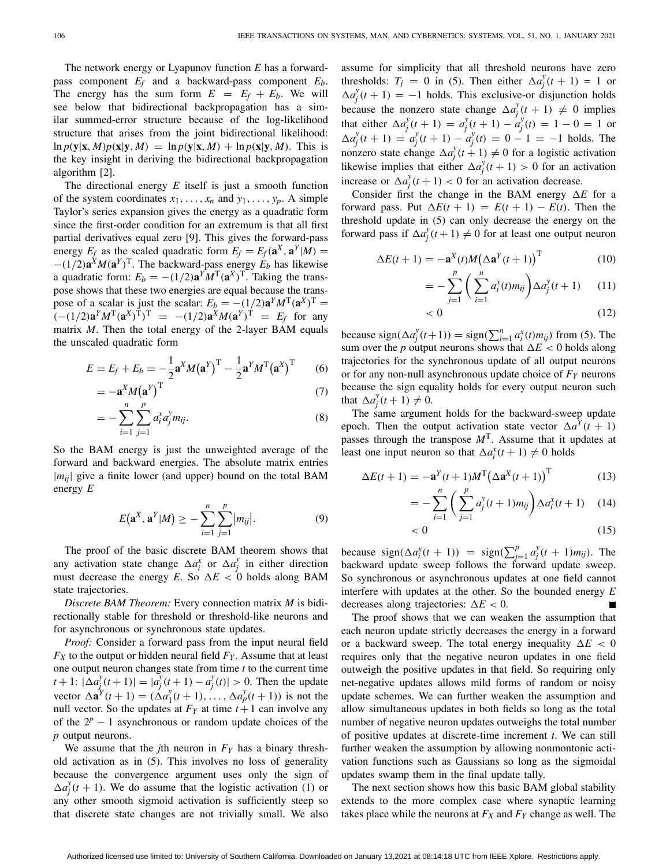The network energy or Lyapunov function *E* has a forwardpass component *Ef* and a backward-pass component *Eb*. The energy has the sum form  $E = E_f + E_b$ . We will see below that bidirectional backpropagation has a similar summed-error structure because of the log-likelihood structure that arises from the joint bidirectional likelihood:  $\ln p(\mathbf{y}|\mathbf{x}, M)p(\mathbf{x}|\mathbf{y}, M) = \ln p(\mathbf{y}|\mathbf{x}, M) + \ln p(\mathbf{x}|\mathbf{y}, M)$ . This is the key insight in deriving the bidirectional backpropagation algorithm [\[2\]](#page-12-1).

The directional energy *E* itself is just a smooth function of the system coordinates  $x_1, \ldots, x_n$  and  $y_1, \ldots, y_p$ . A simple Taylor's series expansion gives the energy as a quadratic form since the first-order condition for an extremum is that all first partial derivatives equal zero [\[9\]](#page-12-8). This gives the forward-pass energy  $E_f$  as the scaled quadratic form  $E_f = E_f(\mathbf{a}^X, \mathbf{a}^Y | M)$  =  $-(1/2)\mathbf{a}^{X}M(\mathbf{a}^{Y})^{T}$ . The backward-pass energy  $E_b$  has likewise a quadratic form:  $E_b = -(1/2)\mathbf{a}^Y M^T(\mathbf{a}^X)^T$ . Taking the transpose shows that these two energies are equal because the transpose of a scalar is just the scalar:  $E_b = -(1/2)\mathbf{a}^Y M^T(\mathbf{a}^X)^T$  $(- (1/2)a^Y M^T (a^X)^T)^T = -(1/2)a^X M (a^Y)^T = E_f$  for any matrix *M*. Then the total energy of the 2-layer BAM equals the unscaled quadratic form

<span id="page-3-0"></span>
$$
E = E_f + E_b = -\frac{1}{2}\mathbf{a}^X M (\mathbf{a}^Y)^T - \frac{1}{2}\mathbf{a}^Y M^T (\mathbf{a}^X)^T \qquad (6)
$$

$$
= -\mathbf{a}^X M (\mathbf{a}^Y)^T
$$
 (7)

$$
= -\sum_{i=1}^{n} \sum_{j=1}^{p} a_i^x a_j^y m_{ij}.
$$
 (8)

So the BAM energy is just the unweighted average of the forward and backward energies. The absolute matrix entries  $|m_{ij}|$  give a finite lower (and upper) bound on the total BAM energy *E*

$$
E(\mathbf{a}^{X}, \mathbf{a}^{Y}|M) \geq -\sum_{i=1}^{n} \sum_{j=1}^{p} |m_{ij}|.
$$
 (9)

The proof of the basic discrete BAM theorem shows that any activation state change  $\Delta a_i^x$  or  $\Delta a_j^y$  in either direction must decrease the energy *E*. So  $\Delta E < 0$  holds along BAM state trajectories.

*Discrete BAM Theorem:* Every connection matrix *M* is bidirectionally stable for threshold or threshold-like neurons and for asynchronous or synchronous state updates.

*Proof:* Consider a forward pass from the input neural field  $F_X$  to the output or hidden neural field  $F_Y$ . Assume that at least one output neuron changes state from time *t* to the current time  $|t+1: |\Delta a_j^y(t+1)| = |a_j^y(t+1) - a_j^y(t)| > 0$ . Then the update vector  $\Delta \mathbf{a}^{\gamma}(t+1) = (\Delta a_1^{\gamma}(t+1), \ldots, \Delta a_p^{\gamma}(t+1))$  is not the null vector. So the updates at  $F_Y$  at time  $t+1$  can involve any of the  $2^p - 1$  asynchronous or random update choices of the *p* output neurons.

We assume that the *j*th neuron in  $F<sub>Y</sub>$  has a binary threshold activation as in [\(5\)](#page-2-0). This involves no loss of generality because the convergence argument uses only the sign of  $\Delta a_j^y(t+1)$ . We do assume that the logistic activation [\(1\)](#page-2-1) or any other smooth sigmoid activation is sufficiently steep so that discrete state changes are not trivially small. We also assume for simplicity that all threshold neurons have zero thresholds:  $T_j = 0$  in [\(5\)](#page-2-0). Then either  $\Delta a_j^y(t+1) = 1$  or  $\Delta a_j^y(t+1) = -1$  holds. This exclusive-or disjunction holds because the nonzero state change  $\Delta a_j^y(t+1) \neq 0$  implies that either  $\Delta a_j^y(t+1) = a_j^y(t+1) - a_j^y(t) = 1 - 0 = 1$  or  $\Delta a_j^y(t+1) = a_j^y(t+1) - a_j^y(t) = 0 - 1 = -1$  holds. The nonzero state change  $\Delta a_j^y(t+1) \neq 0$  for a logistic activation likewise implies that either  $\Delta a_j^y(t+1) > 0$  for an activation increase or  $\Delta a_j^y(t+1) < 0$  for an activation decrease.

Consider first the change in the BAM energy  $\Delta E$  for a forward pass. Put  $\Delta E(t + 1) = E(t + 1) - E(t)$ . Then the threshold update in [\(5\)](#page-2-0) can only decrease the energy on the forward pass if  $\Delta a_j^y(t+1) \neq 0$  for at least one output neuron

$$
\Delta E(t+1) = -\mathbf{a}^{X}(t)M(\Delta \mathbf{a}^{Y}(t+1))^{T}
$$
 (10)

$$
= -\sum_{j=1}^{p} \left( \sum_{i=1}^{n} a_i^x(t) m_{ij} \right) \Delta a_j^y(t+1) \tag{11}
$$

$$
< 0 \tag{12}
$$

because  $sign(\Delta a_j^y(t+1)) = sign(\sum_{i=1}^n a_i^x(t)m_{ij})$  from [\(5\)](#page-2-0). The sum over the *p* output neurons shows that  $\Delta E < 0$  holds along trajectories for the synchronous update of all output neurons or for any non-null asynchronous update choice of *FY* neurons because the sign equality holds for every output neuron such that  $\Delta a_j^y(t+1) \neq 0$ .

The same argument holds for the backward-sweep update epoch. Then the output activation state vector  $\Delta a^{Y}(t + 1)$ passes through the transpose  $M<sup>T</sup>$ . Assume that it updates at least one input neuron so that  $\Delta a_i^x(t+1) \neq 0$  holds

$$
\Delta E(t+1) = -\mathbf{a}^{Y}(t+1)M^{T}(\Delta \mathbf{a}^{X}(t+1))^{T}
$$
 (13)

$$
= -\sum_{i=1}^{n} \left( \sum_{j=1}^{p} a_j^{y}(t+1)m_{ij} \right) \Delta a_i^{x}(t+1) \quad (14)
$$
  
< 0 \qquad (15)

$$
<0\tag{15}
$$

because  $sign(\Delta a_i^x(t + 1)) = sign(\sum_{j=1}^p a_j^y(t + 1)m_{ij})$ . The backward update sweep follows the forward update sweep. So synchronous or asynchronous updates at one field cannot interfere with updates at the other. So the bounded energy *E* decreases along trajectories:  $\Delta E < 0$ .

The proof shows that we can weaken the assumption that each neuron update strictly decreases the energy in a forward or a backward sweep. The total energy inequality  $\Delta E < 0$ requires only that the negative neuron updates in one field outweigh the positive updates in that field. So requiring only net-negative updates allows mild forms of random or noisy update schemes. We can further weaken the assumption and allow simultaneous updates in both fields so long as the total number of negative neuron updates outweighs the total number of positive updates at discrete-time increment *t*. We can still further weaken the assumption by allowing nonmontonic activation functions such as Gaussians so long as the sigmoidal updates swamp them in the final update tally.

The next section shows how this basic BAM global stability extends to the more complex case where synaptic learning takes place while the neurons at  $F_X$  and  $F_Y$  change as well. The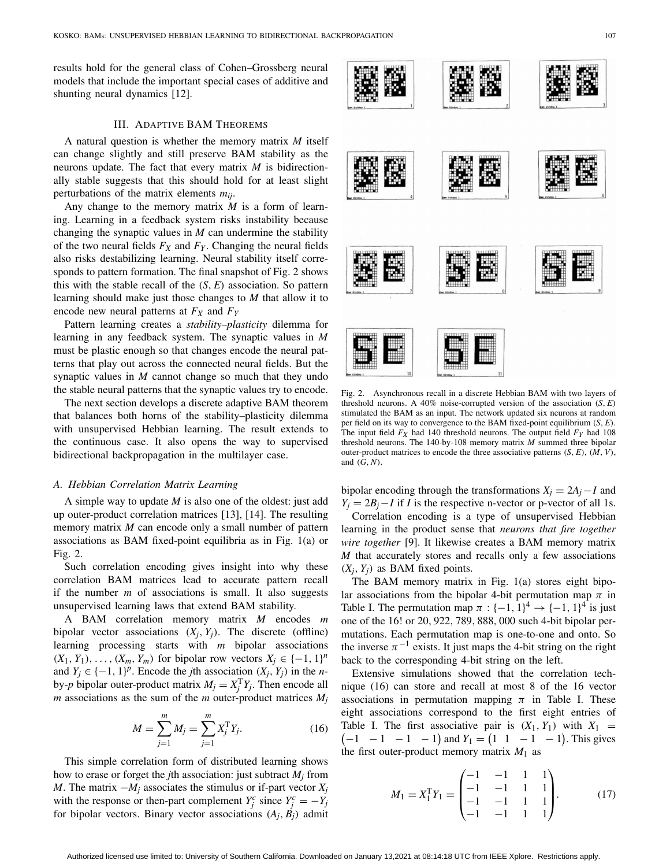results hold for the general class of Cohen–Grossberg neural models that include the important special cases of additive and shunting neural dynamics [\[12\]](#page-12-11).

# III. ADAPTIVE BAM THEOREMS

A natural question is whether the memory matrix *M* itself can change slightly and still preserve BAM stability as the neurons update. The fact that every matrix *M* is bidirectionally stable suggests that this should hold for at least slight perturbations of the matrix elements *mij*.

Any change to the memory matrix *M* is a form of learning. Learning in a feedback system risks instability because changing the synaptic values in *M* can undermine the stability of the two neural fields  $F_X$  and  $F_Y$ . Changing the neural fields also risks destabilizing learning. Neural stability itself corresponds to pattern formation. The final snapshot of Fig. [2](#page-4-0) shows this with the stable recall of the (*S*, *E*) association. So pattern learning should make just those changes to *M* that allow it to encode new neural patterns at  $F_X$  and  $F_Y$ 

Pattern learning creates a *stability–plasticity* dilemma for learning in any feedback system. The synaptic values in *M* must be plastic enough so that changes encode the neural patterns that play out across the connected neural fields. But the synaptic values in *M* cannot change so much that they undo the stable neural patterns that the synaptic values try to encode.

The next section develops a discrete adaptive BAM theorem that balances both horns of the stability–plasticity dilemma with unsupervised Hebbian learning. The result extends to the continuous case. It also opens the way to supervised bidirectional backpropagation in the multilayer case.

#### *A. Hebbian Correlation Matrix Learning*

A simple way to update *M* is also one of the oldest: just add up outer-product correlation matrices [\[13\]](#page-12-12), [\[14\]](#page-12-13). The resulting memory matrix *M* can encode only a small number of pattern associations as BAM fixed-point equilibria as in Fig. [1\(](#page-1-0)a) or Fig. [2.](#page-4-0)

Such correlation encoding gives insight into why these correlation BAM matrices lead to accurate pattern recall if the number *m* of associations is small. It also suggests unsupervised learning laws that extend BAM stability.

A BAM correlation memory matrix *M* encodes *m* bipolar vector associations  $(X_i, Y_i)$ . The discrete (offline) learning processing starts with *m* bipolar associations  $(X_1, Y_1), \ldots, (X_m, Y_m)$  for bipolar row vectors  $X_i \in \{-1, 1\}^n$ and  $Y_i \in \{-1, 1\}^p$ . Encode the *j*th association  $(X_i, Y_j)$  in the *n*by-*p* bipolar outer-product matrix  $M_j = X_j^T Y_j$ . Then encode all *m* associations as the sum of the *m* outer-product matrices  $M_i$ 

<span id="page-4-1"></span>
$$
M = \sum_{j=1}^{m} M_j = \sum_{j=1}^{m} X_j^{\mathrm{T}} Y_j.
$$
 (16)

This simple correlation form of distributed learning shows how to erase or forget the *j*th association: just subtract *Mj* from *M*. The matrix  $-M_i$  associates the stimulus or if-part vector  $X_i$ with the response or then-part complement  $Y_j^c$  since  $Y_j^c = -Y_j$ for bipolar vectors. Binary vector associations  $(A_i, B_j)$  admit

Fig. 2. Asynchronous recall in a discrete Hebbian BAM with two layers of

<span id="page-4-0"></span>threshold neurons. A 40% noise-corrupted version of the association (*S*, *E*) stimulated the BAM as an input. The network updated six neurons at random per field on its way to convergence to the BAM fixed-point equilibrium (*S*, *E*). The input field *FX* had 140 threshold neurons. The output field *FY* had 108 threshold neurons. The 140-by-108 memory matrix *M* summed three bipolar outer-product matrices to encode the three associative patterns (*S*, *E*), (*M*, *V*), and (*G*, *N*).

bipolar encoding through the transformations  $X_i = 2A_i - I$  and  $Y_i = 2B_i - I$  if *I* is the respective n-vector or p-vector of all 1s.

Correlation encoding is a type of unsupervised Hebbian learning in the product sense that *neurons that fire together wire together* [\[9\]](#page-12-8). It likewise creates a BAM memory matrix *M* that accurately stores and recalls only a few associations  $(X_i, Y_j)$  as BAM fixed points.

The BAM memory matrix in Fig. [1\(](#page-1-0)a) stores eight bipolar associations from the bipolar 4-bit permutation map  $\pi$  in Table [I.](#page-1-1) The permutation map  $\pi : \{-1, 1\}^4 \rightarrow \{-1, 1\}^4$  is just one of the 16! or 20, 922, 789, 888, 000 such 4-bit bipolar permutations. Each permutation map is one-to-one and onto. So the inverse  $\pi^{-1}$  exists. It just maps the 4-bit string on the right back to the corresponding 4-bit string on the left.

Extensive simulations showed that the correlation technique [\(16\)](#page-4-1) can store and recall at most 8 of the 16 vector associations in permutation mapping  $\pi$  in Table [I.](#page-1-1) These eight associations correspond to the first eight entries of Table [I.](#page-1-1) The first associative pair is  $(X_1, Y_1)$  with  $X_1 =$  $(-1 \ -1 \ -1 \ -1)$  and  $Y_1 = (1 \ 1 \ -1 \ -1)$ . This gives the first outer-product memory matrix  $M_1$  as

$$
M_1 = X_1^{\mathrm{T}} Y_1 = \begin{pmatrix} -1 & -1 & 1 & 1 \\ -1 & -1 & 1 & 1 \\ -1 & -1 & 1 & 1 \\ -1 & -1 & 1 & 1 \end{pmatrix} . \tag{17}
$$

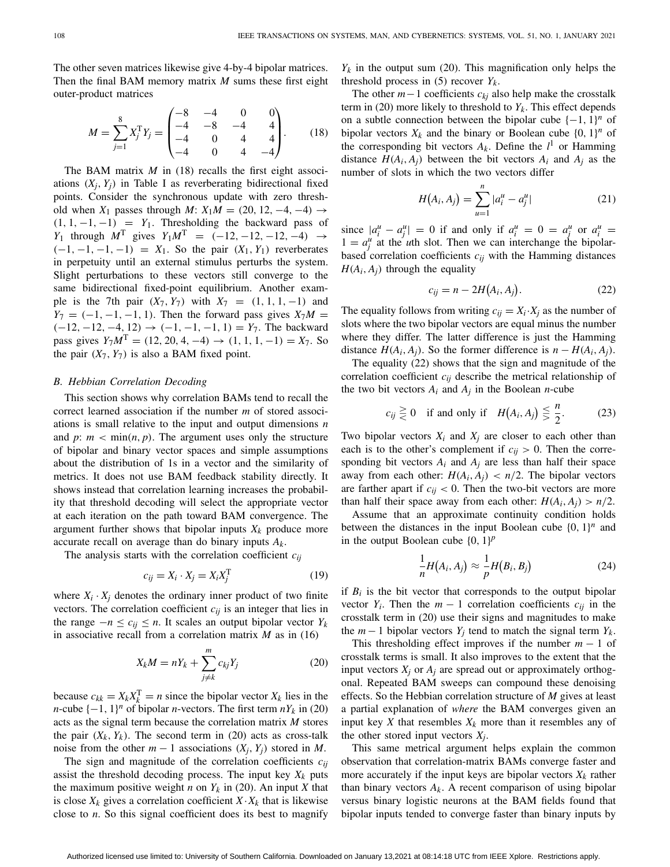The other seven matrices likewise give 4-by-4 bipolar matrices. Then the final BAM memory matrix *M* sums these first eight outer-product matrices

<span id="page-5-0"></span>
$$
M = \sum_{j=1}^{8} X_j^{\mathrm{T}} Y_j = \begin{pmatrix} -8 & -4 & 0 & 0 \\ -4 & -8 & -4 & 4 \\ -4 & 0 & 4 & 4 \\ -4 & 0 & 4 & -4 \end{pmatrix}.
$$
 (18)

The BAM matrix *M* in [\(18\)](#page-5-0) recalls the first eight associations  $(X_i, Y_j)$  in Table [I](#page-1-1) as reverberating bidirectional fixed points. Consider the synchronous update with zero threshold when  $X_1$  passes through  $M: X_1M = (20, 12, -4, -4) \rightarrow$  $(1, 1, -1, -1) = Y_1$ . Thresholding the backward pass of *Y*<sub>1</sub> through  $M^T$  gives  $Y_1M^T = (-12, -12, -12, -4) \rightarrow$  $(-1, -1, -1, -1) = X_1$ . So the pair  $(X_1, Y_1)$  reverberates in perpetuity until an external stimulus perturbs the system. Slight perturbations to these vectors still converge to the same bidirectional fixed-point equilibrium. Another example is the 7th pair  $(X_7, Y_7)$  with  $X_7 = (1, 1, 1, -1)$  and  $Y_7 = (-1, -1, -1, 1)$ . Then the forward pass gives  $X_7M =$  $(-12, -12, -4, 12)$  →  $(-1, -1, -1, 1) = Y_7$ . The backward pass gives  $Y_7M^T = (12, 20, 4, -4) \rightarrow (1, 1, 1, -1) = X_7$ . So the pair  $(X_7, Y_7)$  is also a BAM fixed point.

#### *B. Hebbian Correlation Decoding*

This section shows why correlation BAMs tend to recall the correct learned association if the number *m* of stored associations is small relative to the input and output dimensions *n* and  $p: m < min(n, p)$ . The argument uses only the structure of bipolar and binary vector spaces and simple assumptions about the distribution of 1s in a vector and the similarity of metrics. It does not use BAM feedback stability directly. It shows instead that correlation learning increases the probability that threshold decoding will select the appropriate vector at each iteration on the path toward BAM convergence. The argument further shows that bipolar inputs  $X_k$  produce more accurate recall on average than do binary inputs *Ak*.

The analysis starts with the correlation coefficient *cij*

$$
c_{ij} = X_i \cdot X_j = X_i X_j^{\mathrm{T}}
$$
 (19)

where  $X_i \cdot X_j$  denotes the ordinary inner product of two finite vectors. The correlation coefficient *cij* is an integer that lies in the range  $-n ≤ c_{ij} ≤ n$ . It scales an output bipolar vector  $Y_k$ in associative recall from a correlation matrix *M* as in [\(16\)](#page-4-1)

<span id="page-5-1"></span>
$$
X_k M = nY_k + \sum_{j \neq k}^{m} c_{kj} Y_j \tag{20}
$$

because  $c_{kk} = X_k X_k^T = n$  since the bipolar vector  $X_k$  lies in the *n*-cube  $\{-1, 1\}^n$  of bipolar *n*-vectors. The first term  $nY_k$  in [\(20\)](#page-5-1) acts as the signal term because the correlation matrix *M* stores the pair  $(X_k, Y_k)$ . The second term in [\(20\)](#page-5-1) acts as cross-talk noise from the other  $m - 1$  associations  $(X_i, Y_j)$  stored in *M*.

The sign and magnitude of the correlation coefficients *cij* assist the threshold decoding process. The input key  $X_k$  puts the maximum positive weight *n* on  $Y_k$  in [\(20\)](#page-5-1). An input *X* that is close  $X_k$  gives a correlation coefficient  $X \cdot X_k$  that is likewise close to *n*. So this signal coefficient does its best to magnify  $Y_k$  in the output sum [\(20\)](#page-5-1). This magnification only helps the threshold process in  $(5)$  recover  $Y_k$ .

The other *m*−1 coefficients *ckj* also help make the crosstalk term in [\(20\)](#page-5-1) more likely to threshold to  $Y_k$ . This effect depends on a subtle connection between the bipolar cube  $\{-1, 1\}^n$  of bipolar vectors  $X_k$  and the binary or Boolean cube  $\{0, 1\}^n$  of the corresponding bit vectors  $A_k$ . Define the  $l^1$  or Hamming distance  $H(A_i, A_j)$  between the bit vectors  $A_i$  and  $A_j$  as the number of slots in which the two vectors differ

$$
H(A_i, A_j) = \sum_{u=1}^{n} |a_i^u - a_j^u|
$$
 (21)

since  $|a_i^u - a_j^u| = 0$  if and only if  $a_i^u = 0 = a_j^u$  or  $a_i^u =$  $1 = a_j^u$  at the *u*th slot. Then we can interchange the bipolarbased correlation coefficients  $c_{ij}$  with the Hamming distances  $H(A_i, A_j)$  through the equality

<span id="page-5-2"></span>
$$
c_{ij} = n - 2H(A_i, A_j). \tag{22}
$$

The equality follows from writing  $c_{ij} = X_i \cdot X_j$  as the number of slots where the two bipolar vectors are equal minus the number where they differ. The latter difference is just the Hamming distance  $H(A_i, A_j)$ . So the former difference is  $n - H(A_i, A_j)$ .

The equality [\(22\)](#page-5-2) shows that the sign and magnitude of the correlation coefficient *cij* describe the metrical relationship of the two bit vectors  $A_i$  and  $A_j$  in the Boolean *n*-cube

<span id="page-5-3"></span>
$$
c_{ij} \ge 0 \quad \text{if and only if} \quad H(A_i, A_j) \le \frac{n}{2}.
$$
 (23)

Two bipolar vectors  $X_i$  and  $X_j$  are closer to each other than each is to the other's complement if  $c_{ij} > 0$ . Then the corresponding bit vectors  $A_i$  and  $A_j$  are less than half their space away from each other:  $H(A_i, A_j) < n/2$ . The bipolar vectors are farther apart if  $c_{ij}$  < 0. Then the two-bit vectors are more than half their space away from each other:  $H(A_i, A_j) > n/2$ .

Assume that an approximate continuity condition holds between the distances in the input Boolean cube  $\{0, 1\}^n$  and in the output Boolean cube  $\{0, 1\}^p$ 

$$
\frac{1}{n}H(A_i, A_j) \approx \frac{1}{p}H(B_i, B_j)
$$
\n(24)

if  $B_i$  is the bit vector that corresponds to the output bipolar vector  $Y_i$ . Then the  $m-1$  correlation coefficients  $c_{ij}$  in the crosstalk term in [\(20\)](#page-5-1) use their signs and magnitudes to make the  $m-1$  bipolar vectors  $Y_i$  tend to match the signal term  $Y_k$ .

This thresholding effect improves if the number  $m - 1$  of crosstalk terms is small. It also improves to the extent that the input vectors  $X_i$  or  $A_i$  are spread out or approximately orthogonal. Repeated BAM sweeps can compound these denoising effects. So the Hebbian correlation structure of *M* gives at least a partial explanation of *where* the BAM converges given an input key  $X$  that resembles  $X_k$  more than it resembles any of the other stored input vectors  $X_i$ .

This same metrical argument helps explain the common observation that correlation-matrix BAMs converge faster and more accurately if the input keys are bipolar vectors  $X_k$  rather than binary vectors  $A_k$ . A recent comparison of using bipolar versus binary logistic neurons at the BAM fields found that bipolar inputs tended to converge faster than binary inputs by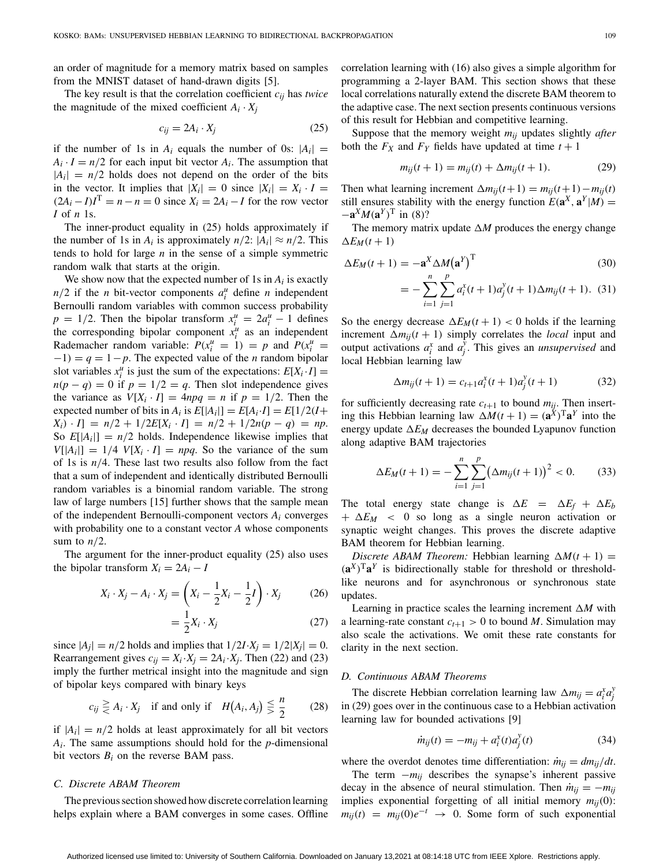an order of magnitude for a memory matrix based on samples from the MNIST dataset of hand-drawn digits [\[5\]](#page-12-4).

The key result is that the correlation coefficient *cij* has *twice* the magnitude of the mixed coefficient  $A_i \cdot X_j$ 

<span id="page-6-0"></span>
$$
c_{ij} = 2A_i \cdot X_j \tag{25}
$$

if the number of 1s in  $A_i$  equals the number of 0s:  $|A_i|$  =  $A_i \cdot I = n/2$  for each input bit vector  $A_i$ . The assumption that  $|A_i| = n/2$  holds does not depend on the order of the bits in the vector. It implies that  $|X_i| = 0$  since  $|X_i| = X_i \cdot I$  $(2A_i - I)I<sup>T</sup> = n - n = 0$  since  $X_i = 2A_i - I$  for the row vector *I* of *n* 1s.

The inner-product equality in [\(25\)](#page-6-0) holds approximately if the number of 1s in  $A_i$  is approximately  $n/2$ :  $|A_i| \approx n/2$ . This tends to hold for large *n* in the sense of a simple symmetric random walk that starts at the origin.

We show now that the expected number of 1s in *Ai* is exactly  $n/2$  if the *n* bit-vector components  $a_i^u$  define *n* independent Bernoulli random variables with common success probability  $p = 1/2$ . Then the bipolar transform  $x_i^u = 2a_i^u - 1$  defines the corresponding bipolar component  $x_i^u$  as an independent Rademacher random variable:  $P(x_i^u = 1) = p$  and  $P(x_i^u = 1)$  $-1$ ) =  $q = 1 - p$ . The expected value of the *n* random bipolar slot variables  $x_i^u$  is just the sum of the expectations:  $E[X_i \cdot I] =$  $n(p - q) = 0$  if  $p = 1/2 = q$ . Then slot independence gives the variance as  $V[X_i \cdot I] = 4npq = n$  if  $p = 1/2$ . Then the expected number of bits in  $A_i$  is  $E[|A_i|] = E[A_i \cdot I] = E[1/2(I +$  $X_i$ ) · *I*] =  $n/2 + 1/2E[X_i \cdot I] = n/2 + 1/2n(p - q) = np$ . So  $E[A_i] = n/2$  holds. Independence likewise implies that  $V[|A_i|] = 1/4$   $V[X_i \cdot I] = npq$ . So the variance of the sum of 1s is  $n/4$ . These last two results also follow from the fact that a sum of independent and identically distributed Bernoulli random variables is a binomial random variable. The strong law of large numbers [\[15\]](#page-12-14) further shows that the sample mean of the independent Bernoulli-component vectors *Ai* converges with probability one to a constant vector *A* whose components sum to  $n/2$ .

The argument for the inner-product equality [\(25\)](#page-6-0) also uses the bipolar transform  $X_i = 2A_i - I$ 

$$
X_i \cdot X_j - A_i \cdot X_j = \left(X_i - \frac{1}{2}X_i - \frac{1}{2}I\right) \cdot X_j \tag{26}
$$

$$
=\frac{1}{2}X_i \cdot X_j \tag{27}
$$

since  $|A_j| = n/2$  holds and implies that  $1/2I \cdot X_j = 1/2|X_j| = 0$ . Rearrangement gives  $c_{ij} = X_i \cdot X_j = 2A_i \cdot X_j$ . Then [\(22\)](#page-5-2) and [\(23\)](#page-5-3) imply the further metrical insight into the magnitude and sign of bipolar keys compared with binary keys

$$
c_{ij} \geq A_i \cdot X_j \quad \text{if and only if} \quad H(A_i, A_j) \leq \frac{n}{2} \qquad (28)
$$

if  $|A_i| = n/2$  holds at least approximately for all bit vectors *Ai*. The same assumptions should hold for the *p*-dimensional bit vectors  $B_i$  on the reverse BAM pass.

#### *C. Discrete ABAM Theorem*

The previous section showed how discrete correlation learning helps explain where a BAM converges in some cases. Offline correlation learning with [\(16\)](#page-4-1) also gives a simple algorithm for programming a 2-layer BAM. This section shows that these local correlations naturally extend the discrete BAM theorem to the adaptive case. The next section presents continuous versions of this result for Hebbian and competitive learning.

Suppose that the memory weight *mij* updates slightly *after* both the  $F_X$  and  $F_Y$  fields have updated at time  $t + 1$ 

<span id="page-6-1"></span>
$$
m_{ij}(t+1) = m_{ij}(t) + \Delta m_{ij}(t+1). \tag{29}
$$

Then what learning increment  $\Delta m_{ij}(t+1) = m_{ij}(t+1) - m_{ij}(t)$ still ensures stability with the energy function  $E(\mathbf{a}^{X}, \mathbf{a}^{Y}|M) =$  $-\mathbf{a}^{X}M(\mathbf{a}^{Y})^{T}$  in [\(8\)](#page-3-0)?

The memory matrix update  $\Delta M$  produces the energy change  $\Delta E_M(t+1)$ 

$$
\Delta E_M(t+1) = -\mathbf{a}^X \Delta M (\mathbf{a}^Y)^T
$$
\n(30)

$$
= -\sum_{i=1}^{n} \sum_{j=1}^{p} a_i^{x}(t+1)a_j^{y}(t+1)\Delta m_{ij}(t+1). \quad (31)
$$

So the energy decrease  $\Delta E_M(t+1) < 0$  holds if the learning increment  $\Delta m_{ij}(t + 1)$  simply correlates the *local* input and output activations  $a_i^x$  and  $a_j^y$ . This gives an *unsupervised* and local Hebbian learning law

$$
\Delta m_{ij}(t+1) = c_{t+1} a_i^x(t+1) a_j^y(t+1) \tag{32}
$$

for sufficiently decreasing rate  $c_{t+1}$  to bound  $m_{ij}$ . Then inserting this Hebbian learning law  $\Delta M(t+1) = (\mathbf{a}^X)^T \mathbf{a}^Y$  into the energy update  $\Delta E_M$  decreases the bounded Lyapunov function along adaptive BAM trajectories

$$
\Delta E_M(t+1) = -\sum_{i=1}^n \sum_{j=1}^p (\Delta m_{ij}(t+1))^2 < 0. \tag{33}
$$

The total energy state change is  $\Delta E = \Delta E_f + \Delta E_b$  $+ \Delta E_M$  < 0 so long as a single neuron activation or synaptic weight changes. This proves the discrete adaptive BAM theorem for Hebbian learning.

*Discrete ABAM Theorem:* Hebbian learning  $\Delta M(t+1)$  =  $(a^X)^T a^Y$  is bidirectionally stable for threshold or thresholdlike neurons and for asynchronous or synchronous state updates.

Learning in practice scales the learning increment  $\Delta M$  with a learning-rate constant  $c_{t+1} > 0$  to bound *M*. Simulation may also scale the activations. We omit these rate constants for clarity in the next section.

#### *D. Continuous ABAM Theorems*

The discrete Hebbian correlation learning law  $\Delta m_{ij} = a_i^x a_j^y$ *j* in [\(29\)](#page-6-1) goes over in the continuous case to a Hebbian activation learning law for bounded activations [\[9\]](#page-12-8)

<span id="page-6-2"></span>
$$
\dot{m}_{ij}(t) = -m_{ij} + a_i^x(t)a_j^y(t)
$$
 (34)

where the overdot denotes time differentiation:  $\dot{m}_{ij} = dm_{ij}/dt$ .

The term  $-m_{ij}$  describes the synapse's inherent passive decay in the absence of neural stimulation. Then  $\dot{m}_{ij} = -m_{ij}$ implies exponential forgetting of all initial memory  $m_{ij}(0)$ :  $m_{ii}(t) = m_{ii}(0)e^{-t} \rightarrow 0$ . Some form of such exponential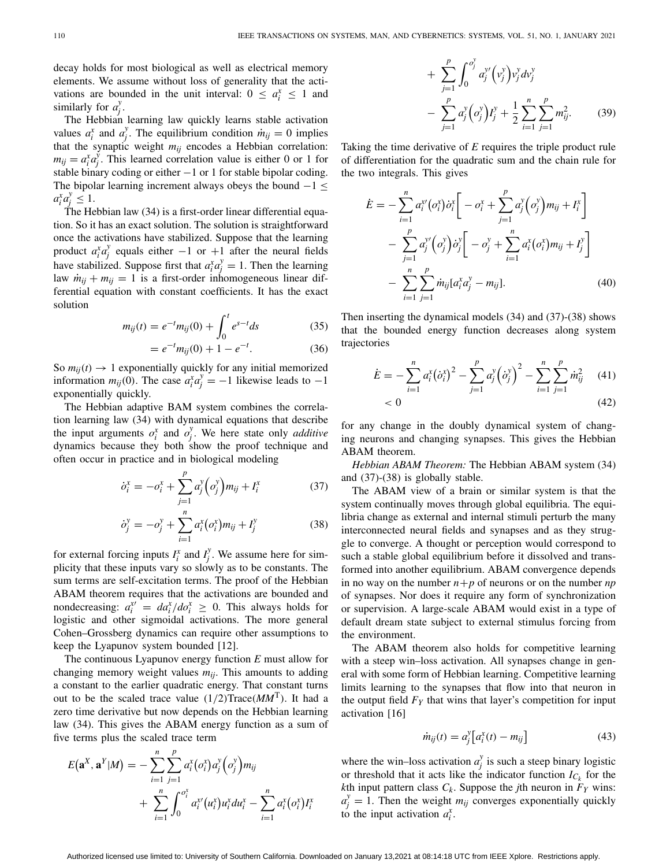decay holds for most biological as well as electrical memory elements. We assume without loss of generality that the activations are bounded in the unit interval:  $0 \le a_i^x \le 1$  and similarly for  $a_j^y$ .

The Hebbian learning law quickly learns stable activation values  $a_i^x$  and  $a_j^y$ . The equilibrium condition  $\dot{m}_{ij} = 0$  implies that the synaptic weight  $m_{ij}$  encodes a Hebbian correlation:  $m_{ij} = a_i^x a_j^y$ . This learned correlation value is either 0 or 1 for stable binary coding or either −1 or 1 for stable bipolar coding. The bipolar learning increment always obeys the bound  $-1 \leq$  $a_i^x a_j^y \leq 1.$ 

The Hebbian law [\(34\)](#page-6-2) is a first-order linear differential equation. So it has an exact solution. The solution is straightforward once the activations have stabilized. Suppose that the learning product  $a_i^x a_j^y$  equals either −1 or +1 after the neural fields have stabilized. Suppose first that  $a_i^x a_j^y = 1$ . Then the learning law  $\dot{m}_{ii} + m_{ii} = 1$  is a first-order inhomogeneous linear differential equation with constant coefficients. It has the exact solution

$$
m_{ij}(t) = e^{-t} m_{ij}(0) + \int_0^t e^{s-t} ds
$$
 (35)

$$
= e^{-t} m_{ij}(0) + 1 - e^{-t}.
$$
 (36)

So  $m_{ii}(t) \rightarrow 1$  exponentially quickly for any initial memorized information  $m_{ij}(0)$ . The case  $a_i^x a_j^y = -1$  likewise leads to  $-1$ exponentially quickly.

The Hebbian adaptive BAM system combines the correlation learning law [\(34\)](#page-6-2) with dynamical equations that describe the input arguments  $\sigma_i^x$  and  $\sigma_j^y$ . We here state only *additive* dynamics because they both show the proof technique and often occur in practice and in biological modeling

<span id="page-7-0"></span>
$$
\dot{o}_i^x = -o_i^x + \sum_{j=1}^p a_j^y \left( o_j^y \right) m_{ij} + I_i^x \tag{37}
$$

$$
\dot{\sigma}_j^y = -\sigma_j^y + \sum_{i=1}^n a_i^x (\sigma_i^x) m_{ij} + I_j^y \tag{38}
$$

for external forcing inputs  $I_i^x$  and  $I_j^y$ . We assume here for simplicity that these inputs vary so slowly as to be constants. The sum terms are self-excitation terms. The proof of the Hebbian ABAM theorem requires that the activations are bounded and nondecreasing:  $a_i^{x} = da_i^x / do_i^x \ge 0$ . This always holds for logistic and other sigmoidal activations. The more general Cohen–Grossberg dynamics can require other assumptions to keep the Lyapunov system bounded [\[12\]](#page-12-11).

The continuous Lyapunov energy function *E* must allow for changing memory weight values  $m_{ij}$ . This amounts to adding a constant to the earlier quadratic energy. That constant turns out to be the scaled trace value  $(1/2)$ Trace $(MM<sup>T</sup>)$ . It had a zero time derivative but now depends on the Hebbian learning law [\(34\)](#page-6-2). This gives the ABAM energy function as a sum of five terms plus the scaled trace term

$$
E(\mathbf{a}^{X}, \mathbf{a}^{Y}|M) = -\sum_{i=1}^{n} \sum_{j=1}^{p} a_{i}^{X}(o_{i}^{X}) a_{j}^{Y}(o_{j}^{Y}) m_{ij} + \sum_{i=1}^{n} \int_{0}^{o_{i}^{X}} a_{i}^{X'}(u_{i}^{X}) u_{i}^{X} du_{i}^{X} - \sum_{i=1}^{n} a_{i}^{X}(o_{i}^{X}) I_{i}^{X}
$$

$$
+\sum_{j=1}^{p} \int_{0}^{\sigma_{j}^{y}} a_{j}^{y'} (v_{j}^{y}) v_{j}^{y} dv_{j}^{y}
$$
  

$$
-\sum_{j=1}^{p} a_{j}^{y} (o_{j}^{y}) I_{j}^{y} + \frac{1}{2} \sum_{i=1}^{n} \sum_{j=1}^{p} m_{ij}^{2}.
$$
 (39)

Taking the time derivative of *E* requires the triple product rule of differentiation for the quadratic sum and the chain rule for the two integrals. This gives

<span id="page-7-2"></span>
$$
\dot{E} = -\sum_{i=1}^{n} a_i^{v'} (\sigma_i^{v}) \dot{\sigma}_i^{x} \bigg[ -\sigma_i^{x} + \sum_{j=1}^{p} a_j^{v} (\sigma_j^{y}) m_{ij} + I_i^{x} \bigg] - \sum_{j=1}^{p} a_j^{v'} (\sigma_j^{y}) \dot{\sigma}_j^{y} \bigg[ -\sigma_j^{y} + \sum_{i=1}^{n} a_i^{x} (\sigma_i^{x}) m_{ij} + I_j^{y} \bigg] - \sum_{i=1}^{n} \sum_{j=1}^{p} m_{ij} [\sigma_i^{x} \sigma_j^{y} - m_{ij}]. \tag{40}
$$

Then inserting the dynamical models (34) and (37)-[\(38\)](#page-7-0) shows that the bounded energy function decreases along system trajectories

$$
\dot{E} = -\sum_{i=1}^{n} a_i^x (\dot{\sigma}_i^x)^2 - \sum_{j=1}^{p} a_j^y (\dot{\sigma}_j^y)^2 - \sum_{i=1}^{n} \sum_{j=1}^{p} \dot{m}_{ij}^2 \quad (41)
$$
  
< 0 (42)

for any change in the doubly dynamical system of changing neurons and changing synapses. This gives the Hebbian ABAM theorem.

*Hebbian ABAM Theorem:* The Hebbian ABAM system (34) and (37)-[\(38\)](#page-7-0) is globally stable.

The ABAM view of a brain or similar system is that the system continually moves through global equilibria. The equilibria change as external and internal stimuli perturb the many interconnected neural fields and synapses and as they struggle to converge. A thought or perception would correspond to such a stable global equilibrium before it dissolved and transformed into another equilibrium. ABAM convergence depends in no way on the number  $n+p$  of neurons or on the number  $np$ of synapses. Nor does it require any form of synchronization or supervision. A large-scale ABAM would exist in a type of default dream state subject to external stimulus forcing from the environment.

The ABAM theorem also holds for competitive learning with a steep win–loss activation. All synapses change in general with some form of Hebbian learning. Competitive learning limits learning to the synapses that flow into that neuron in the output field  $F<sub>Y</sub>$  that wins that layer's competition for input activation [\[16\]](#page-12-15)

<span id="page-7-1"></span>
$$
\dot{m}_{ij}(t) = a_j^{\mathrm{y}} \left[ a_i^{\mathrm{x}}(t) - m_{ij} \right] \tag{43}
$$

where the win–loss activation  $a_j^y$  is such a steep binary logistic or threshold that it acts like the indicator function  $I_{C_k}$  for the *k*th input pattern class  $C_k$ . Suppose the *j*th neuron in  $F_Y$  wins:  $a_j^y = 1$ . Then the weight *m<sub>ij</sub>* converges exponentially quickly to the input activation  $a_i^x$ .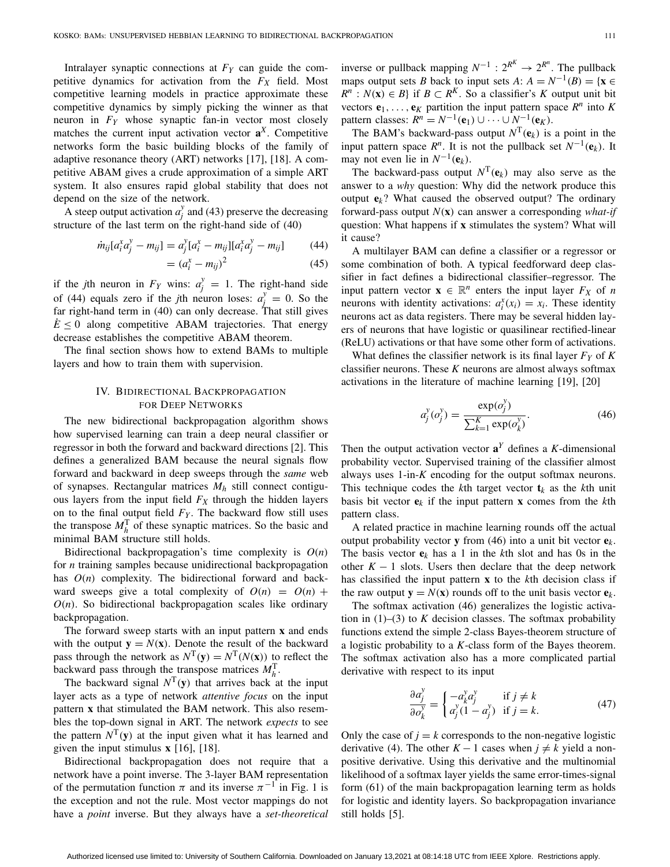Intralayer synaptic connections at  $F<sub>Y</sub>$  can guide the competitive dynamics for activation from the  $F_X$  field. Most competitive learning models in practice approximate these competitive dynamics by simply picking the winner as that neuron in *FY* whose synaptic fan-in vector most closely matches the current input activation vector  $\mathbf{a}^X$ . Competitive networks form the basic building blocks of the family of adaptive resonance theory (ART) networks [\[17\]](#page-12-16), [\[18\]](#page-12-17). A competitive ABAM gives a crude approximation of a simple ART system. It also ensures rapid global stability that does not depend on the size of the network.

A steep output activation  $a_j^y$  and [\(43\)](#page-7-1) preserve the decreasing structure of the last term on the right-hand side of [\(40\)](#page-7-2)

<span id="page-8-0"></span>
$$
\dot{m}_{ij}[a_i^x a_j^y - m_{ij}] = a_j^y [a_i^x - m_{ij}][a_i^x a_j^y - m_{ij}] \tag{44}
$$

$$
= (a_i^x - m_{ij})^2 \tag{45}
$$

if the *j*th neuron in  $F_Y$  wins:  $a_j^y = 1$ . The right-hand side of [\(44\)](#page-8-0) equals zero if the *j*th neuron loses:  $a_j^y = 0$ . So the far right-hand term in [\(40\)](#page-7-2) can only decrease. That still gives  $E \leq 0$  along competitive ABAM trajectories. That energy decrease establishes the competitive ABAM theorem.

The final section shows how to extend BAMs to multiple layers and how to train them with supervision.

# IV. BIDIRECTIONAL BACKPROPAGATION FOR DEEP NETWORKS

The new bidirectional backpropagation algorithm shows how supervised learning can train a deep neural classifier or regressor in both the forward and backward directions [\[2\]](#page-12-1). This defines a generalized BAM because the neural signals flow forward and backward in deep sweeps through the *same* web of synapses. Rectangular matrices *Mh* still connect contiguous layers from the input field  $F_X$  through the hidden layers on to the final output field  $F<sub>Y</sub>$ . The backward flow still uses the transpose  $M_h^T$  of these synaptic matrices. So the basic and minimal BAM structure still holds.

Bidirectional backpropagation's time complexity is *O*(*n*) for *n* training samples because unidirectional backpropagation has  $O(n)$  complexity. The bidirectional forward and backward sweeps give a total complexity of  $O(n) = O(n) +$  $O(n)$ . So bidirectional backpropagation scales like ordinary backpropagation.

The forward sweep starts with an input pattern **x** and ends with the output  $y = N(x)$ . Denote the result of the backward pass through the network as  $N^{\text{T}}(\mathbf{y}) = N^{\text{T}}(N(\mathbf{x}))$  to reflect the backward pass through the transpose matrices  $M_h^T$ .

The backward signal  $N^T(y)$  that arrives back at the input layer acts as a type of network *attentive focus* on the input pattern **x** that stimulated the BAM network. This also resembles the top-down signal in ART. The network *expects* to see the pattern  $N^{\mathrm{T}}(\mathbf{y})$  at the input given what it has learned and given the input stimulus **x** [\[16\]](#page-12-15), [\[18\]](#page-12-17).

Bidirectional backpropagation does not require that a network have a point inverse. The 3-layer BAM representation of the permutation function  $\pi$  and its inverse  $\pi^{-1}$  in Fig. [1](#page-1-0) is the exception and not the rule. Most vector mappings do not have a *point* inverse. But they always have a *set-theoretical*

inverse or pullback mapping  $N^{-1}$  :  $2^{R^K} \rightarrow 2^{R^n}$ . The pullback maps output sets *B* back to input sets *A*:  $A = N^{-1}(B) = \{x \in$  $R^n$  :  $N(\mathbf{x}) \in B$  if  $B \subset R^K$ . So a classifier's *K* output unit bit vectors  $e_1, \ldots, e_K$  partition the input pattern space  $R^n$  into  $K$ pattern classes:  $R^n = N^{-1}(\mathbf{e}_1) \cup \cdots \cup N^{-1}(\mathbf{e}_K)$ .

The BAM's backward-pass output  $N^{\text{T}}(\mathbf{e}_k)$  is a point in the input pattern space  $R^n$ . It is not the pullback set  $N^{-1}(e_k)$ . It may not even lie in  $N^{-1}(\mathbf{e}_k)$ .

The backward-pass output  $N^{\text{T}}(\mathbf{e}_k)$  may also serve as the answer to a *why* question: Why did the network produce this output  $e_k$ ? What caused the observed output? The ordinary forward-pass output *N*(**x**) can answer a corresponding *what-if* question: What happens if **x** stimulates the system? What will it cause?

A multilayer BAM can define a classifier or a regressor or some combination of both. A typical feedforward deep classifier in fact defines a bidirectional classifier–regressor. The input pattern vector  $\mathbf{x} \in \mathbb{R}^n$  enters the input layer  $F_X$  of *n* neurons with identity activations:  $a_i^x(x_i) = x_i$ . These identity neurons act as data registers. There may be several hidden layers of neurons that have logistic or quasilinear rectified-linear (ReLU) activations or that have some other form of activations.

What defines the classifier network is its final layer  $F_Y$  of  $K$ classifier neurons. These *K* neurons are almost always softmax activations in the literature of machine learning [\[19\]](#page-12-18), [\[20\]](#page-12-19)

<span id="page-8-1"></span>
$$
a_j^y(o_j^y) = \frac{\exp(o_j^y)}{\sum_{k=1}^K \exp(o_k^y)}.\tag{46}
$$

Then the output activation vector  $\mathbf{a}^Y$  defines a *K*-dimensional probability vector. Supervised training of the classifier almost always uses 1-in-*K* encoding for the output softmax neurons. This technique codes the *k*th target vector  $\mathbf{t}_k$  as the *k*th unit basis bit vector  $e_k$  if the input pattern **x** comes from the *k*th pattern class.

A related practice in machine learning rounds off the actual output probability vector **y** from [\(46\)](#page-8-1) into a unit bit vector  $e_k$ . The basis vector  $e_k$  has a 1 in the *k*th slot and has 0s in the other  $K - 1$  slots. Users then declare that the deep network has classified the input pattern **x** to the *k*th decision class if the raw output  $\mathbf{y} = N(\mathbf{x})$  rounds off to the unit basis vector  $\mathbf{e}_k$ .

The softmax activation [\(46\)](#page-8-1) generalizes the logistic activation in  $(1)$ – $(3)$  to *K* decision classes. The softmax probability functions extend the simple 2-class Bayes-theorem structure of a logistic probability to a *K*-class form of the Bayes theorem. The softmax activation also has a more complicated partial derivative with respect to its input

$$
\frac{\partial a_j^y}{\partial o_k^y} = \begin{cases}\n-a_k^y a_j^y & \text{if } j \neq k \\
a_j^y (1 - a_j^y) & \text{if } j = k.\n\end{cases}
$$
\n(47)

Only the case of  $j = k$  corresponds to the non-negative logistic derivative [\(4\)](#page-2-3). The other  $K-1$  cases when  $j \neq k$  yield a nonpositive derivative. Using this derivative and the multinomial likelihood of a softmax layer yields the same error-times-signal form [\(61\)](#page-11-1) of the main backpropagation learning term as holds for logistic and identity layers. So backpropagation invariance still holds [\[5\]](#page-12-4).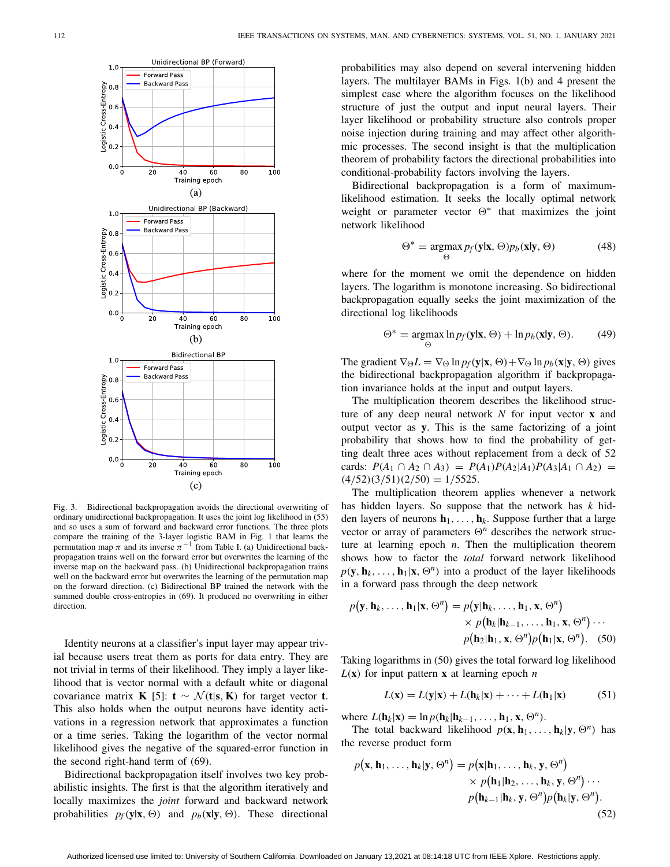

<span id="page-9-0"></span>Fig. 3. Bidirectional backpropagation avoids the directional overwriting of ordinary unidirectional backpropagation. It uses the joint log likelihood in [\(55\)](#page-10-0) and so uses a sum of forward and backward error functions. The three plots compare the training of the 3-layer logistic BAM in Fig. [1](#page-1-0) that learns the permutation map  $\pi$  and its inverse  $\pi^{-1}$  from Table [I.](#page-1-1) (a) Unidirectional backpropagation trains well on the forward error but overwrites the learning of the inverse map on the backward pass. (b) Unidirectional backpropagation trains well on the backward error but overwrites the learning of the permutation map on the forward direction. (c) Bidirectional BP trained the network with the summed double cross-entropies in [\(69\)](#page-11-2). It produced no overwriting in either direction.

Identity neurons at a classifier's input layer may appear trivial because users treat them as ports for data entry. They are not trivial in terms of their likelihood. They imply a layer likelihood that is vector normal with a default white or diagonal covariance matrix **K** [\[5\]](#page-12-4): **t**  $\sim \mathcal{N}(\mathbf{t}|\mathbf{s}, \mathbf{K})$  for target vector **t**. This also holds when the output neurons have identity activations in a regression network that approximates a function or a time series. Taking the logarithm of the vector normal likelihood gives the negative of the squared-error function in the second right-hand term of [\(69\)](#page-11-2).

Bidirectional backpropagation itself involves two key probabilistic insights. The first is that the algorithm iteratively and locally maximizes the *joint* forward and backward network probabilities  $p_f(y|x, \Theta)$  and  $p_b(x|y, \Theta)$ . These directional probabilities may also depend on several intervening hidden layers. The multilayer BAMs in Figs. 1(b) and 4 present the simplest case where the algorithm focuses on the likelihood structure of just the output and input neural layers. Their layer likelihood or probability structure also controls proper noise injection during training and may affect other algorithmic processes. The second insight is that the multiplication theorem of probability factors the directional probabilities into conditional-probability factors involving the layers.

Bidirectional backpropagation is a form of maximumlikelihood estimation. It seeks the locally optimal network weight or parameter vector  $\Theta^*$  that maximizes the joint network likelihood

$$
\Theta^* = \underset{\Theta}{\operatorname{argmax}} \, p_f(\mathbf{y}|\mathbf{x}, \Theta) p_b(\mathbf{x}|\mathbf{y}, \Theta) \tag{48}
$$

where for the moment we omit the dependence on hidden layers. The logarithm is monotone increasing. So bidirectional backpropagation equally seeks the joint maximization of the directional log likelihoods

$$
\Theta^* = \underset{\Theta}{\operatorname{argmax}} \ln p_f(\mathbf{y}|\mathbf{x}, \Theta) + \ln p_b(\mathbf{x}|\mathbf{y}, \Theta). \tag{49}
$$

The gradient  $\nabla_{\Theta}L = \nabla_{\Theta} \ln p_f(\mathbf{y}|\mathbf{x}, \Theta) + \nabla_{\Theta} \ln p_b(\mathbf{x}|\mathbf{y}, \Theta)$  gives the bidirectional backpropagation algorithm if backpropagation invariance holds at the input and output layers.

The multiplication theorem describes the likelihood structure of any deep neural network *N* for input vector **x** and output vector as **y**. This is the same factorizing of a joint probability that shows how to find the probability of getting dealt three aces without replacement from a deck of 52 cards:  $P(A_1 \cap A_2 \cap A_3) = P(A_1)P(A_2|A_1)P(A_3|A_1 \cap A_2) =$  $(4/52)(3/51)(2/50) = 1/5525.$ 

The multiplication theorem applies whenever a network has hidden layers. So suppose that the network has *k* hidden layers of neurons  $h_1, \ldots, h_k$ . Suppose further that a large vector or array of parameters  $\Theta^n$  describes the network structure at learning epoch *n*. Then the multiplication theorem shows how to factor the *total* forward network likelihood  $p(\mathbf{y}, \mathbf{h}_k, \dots, \mathbf{h}_1 | \mathbf{x}, \Theta^n)$  into a product of the layer likelihoods in a forward pass through the deep network

<span id="page-9-1"></span>
$$
p(\mathbf{y}, \mathbf{h}_k, \dots, \mathbf{h}_1 | \mathbf{x}, \Theta^n) = p(\mathbf{y} | \mathbf{h}_k, \dots, \mathbf{h}_1, \mathbf{x}, \Theta^n)
$$

$$
\times p(\mathbf{h}_k | \mathbf{h}_{k-1}, \dots, \mathbf{h}_1, \mathbf{x}, \Theta^n) \cdots
$$

$$
p(\mathbf{h}_2 | \mathbf{h}_1, \mathbf{x}, \Theta^n) p(\mathbf{h}_1 | \mathbf{x}, \Theta^n). \quad (50)
$$

Taking logarithms in [\(50\)](#page-9-1) gives the total forward log likelihood  $L(\mathbf{x})$  for input pattern **x** at learning epoch *n* 

$$
L(\mathbf{x}) = L(\mathbf{y}|\mathbf{x}) + L(\mathbf{h}_k|\mathbf{x}) + \dots + L(\mathbf{h}_1|\mathbf{x}) \tag{51}
$$

where  $L(\mathbf{h}_k|\mathbf{x}) = \ln p(\mathbf{h}_k|\mathbf{h}_{k-1},\ldots,\mathbf{h}_1,\mathbf{x},\Theta^n).$ 

The total backward likelihood  $p(\mathbf{x}, \mathbf{h}_1, \dots, \mathbf{h}_k | \mathbf{y}, \Theta^n)$  has the reverse product form

$$
p(\mathbf{x}, \mathbf{h}_1, \dots, \mathbf{h}_k | \mathbf{y}, \Theta^n) = p(\mathbf{x} | \mathbf{h}_1, \dots, \mathbf{h}_k, \mathbf{y}, \Theta^n)
$$
  
 
$$
\times p(\mathbf{h}_1 | \mathbf{h}_2, \dots, \mathbf{h}_k, \mathbf{y}, \Theta^n) \cdots
$$
  
 
$$
p(\mathbf{h}_{k-1} | \mathbf{h}_k, \mathbf{y}, \Theta^n) p(\mathbf{h}_k | \mathbf{y}, \Theta^n).
$$
  
(52)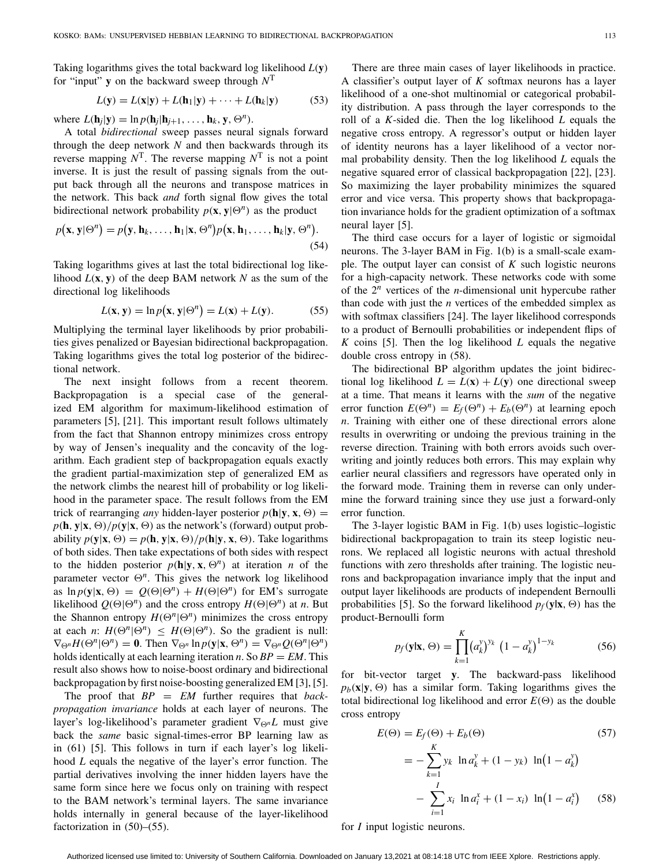Taking logarithms gives the total backward log likelihood *L*(**y**) for "input" **y** on the backward sweep through  $N^T$ 

$$
L(\mathbf{y}) = L(\mathbf{x}|\mathbf{y}) + L(\mathbf{h}_1|\mathbf{y}) + \dots + L(\mathbf{h}_k|\mathbf{y})
$$
 (53)

where  $L(\mathbf{h}_i|\mathbf{y}) = \ln p(\mathbf{h}_i|\mathbf{h}_{i+1},\ldots,\mathbf{h}_k,\mathbf{y},\Theta^n).$ 

A total *bidirectional* sweep passes neural signals forward through the deep network *N* and then backwards through its reverse mapping  $N^T$ . The reverse mapping  $N^T$  is not a point inverse. It is just the result of passing signals from the output back through all the neurons and transpose matrices in the network. This back *and* forth signal flow gives the total bidirectional network probability  $p(\mathbf{x}, \mathbf{y} | \Theta^n)$  as the product

$$
p(\mathbf{x}, \mathbf{y} | \Theta^n) = p(\mathbf{y}, \mathbf{h}_k, \dots, \mathbf{h}_1 | \mathbf{x}, \Theta^n) p(\mathbf{x}, \mathbf{h}_1, \dots, \mathbf{h}_k | \mathbf{y}, \Theta^n).
$$
\n(54)

Taking logarithms gives at last the total bidirectional log likelihood  $L(\mathbf{x}, \mathbf{y})$  of the deep BAM network N as the sum of the directional log likelihoods

<span id="page-10-0"></span>
$$
L(\mathbf{x}, \mathbf{y}) = \ln p(\mathbf{x}, \mathbf{y} | \Theta^n) = L(\mathbf{x}) + L(\mathbf{y}).
$$
 (55)

Multiplying the terminal layer likelihoods by prior probabilities gives penalized or Bayesian bidirectional backpropagation. Taking logarithms gives the total log posterior of the bidirectional network.

The next insight follows from a recent theorem. Backpropagation is a special case of the generalized EM algorithm for maximum-likelihood estimation of parameters [\[5\]](#page-12-4), [\[21\]](#page-12-20). This important result follows ultimately from the fact that Shannon entropy minimizes cross entropy by way of Jensen's inequality and the concavity of the logarithm. Each gradient step of backpropagation equals exactly the gradient partial-maximization step of generalized EM as the network climbs the nearest hill of probability or log likelihood in the parameter space. The result follows from the EM trick of rearranging *any* hidden-layer posterior  $p(\mathbf{h}|\mathbf{y}, \mathbf{x}, \Theta) =$  $p(\mathbf{h}, \mathbf{y}|\mathbf{x}, \Theta) / p(\mathbf{y}|\mathbf{x}, \Theta)$  as the network's (forward) output probability  $p(\mathbf{y}|\mathbf{x}, \Theta) = p(\mathbf{h}, \mathbf{y}|\mathbf{x}, \Theta) / p(\mathbf{h}|\mathbf{y}, \mathbf{x}, \Theta)$ . Take logarithms of both sides. Then take expectations of both sides with respect to the hidden posterior  $p(\mathbf{h}|\mathbf{y}, \mathbf{x}, \Theta^n)$  at iteration *n* of the parameter vector  $\Theta^n$ . This gives the network log likelihood as  $\ln p(\mathbf{y}|\mathbf{x}, \Theta) = Q(\Theta|\Theta^n) + H(\Theta|\Theta^n)$  for EM's surrogate likelihood  $Q(\Theta|\Theta^n)$  and the cross entropy  $H(\Theta|\Theta^n)$  at *n*. But the Shannon entropy  $H(\Theta^n | \Theta^n)$  minimizes the cross entropy at each *n*:  $H(\Theta^n | \Theta^n) \leq H(\Theta | \Theta^n)$ . So the gradient is null:  $\nabla_{\Theta^n} H(\Theta^n | \Theta^n) = \mathbf{0}$ . Then  $\nabla_{\Theta^n} \ln p(\mathbf{y} | \mathbf{x}, \Theta^n) = \nabla_{\Theta^n} Q(\Theta^n | \Theta^n)$ holds identically at each learning iteration *n*. So  $BP = EM$ . This result also shows how to noise-boost ordinary and bidirectional backpropagation by first noise-boosting generalized EM [\[3\]](#page-12-2), [\[5\]](#page-12-4).

The proof that *BP* = *EM* further requires that *backpropagation invariance* holds at each layer of neurons. The layer's log-likelihood's parameter gradient ∇*nL* must give back the *same* basic signal-times-error BP learning law as in [\(61\)](#page-11-1) [\[5\]](#page-12-4). This follows in turn if each layer's log likelihood *L* equals the negative of the layer's error function. The partial derivatives involving the inner hidden layers have the same form since here we focus only on training with respect to the BAM network's terminal layers. The same invariance holds internally in general because of the layer-likelihood factorization in [\(50\)](#page-9-1)–[\(55\)](#page-10-0).

There are three main cases of layer likelihoods in practice. A classifier's output layer of *K* softmax neurons has a layer likelihood of a one-shot multinomial or categorical probability distribution. A pass through the layer corresponds to the roll of a *K*-sided die. Then the log likelihood *L* equals the negative cross entropy. A regressor's output or hidden layer of identity neurons has a layer likelihood of a vector normal probability density. Then the log likelihood *L* equals the negative squared error of classical backpropagation [\[22\]](#page-12-21), [\[23\]](#page-12-22). So maximizing the layer probability minimizes the squared error and vice versa. This property shows that backpropagation invariance holds for the gradient optimization of a softmax neural layer [\[5\]](#page-12-4).

The third case occurs for a layer of logistic or sigmoidal neurons. The 3-layer BAM in Fig. [1\(](#page-1-0)b) is a small-scale example. The output layer can consist of *K* such logistic neurons for a high-capacity network. These networks code with some of the 2*<sup>n</sup>* vertices of the *n*-dimensional unit hypercube rather than code with just the *n* vertices of the embedded simplex as with softmax classifiers [\[24\]](#page-12-23). The layer likelihood corresponds to a product of Bernoulli probabilities or independent flips of *K* coins [\[5\]](#page-12-4). Then the log likelihood *L* equals the negative double cross entropy in [\(58\)](#page-10-1).

The bidirectional BP algorithm updates the joint bidirectional log likelihood  $L = L(\mathbf{x}) + L(\mathbf{y})$  one directional sweep at a time. That means it learns with the *sum* of the negative error function  $E(\Theta^n) = E_f(\Theta^n) + E_b(\Theta^n)$  at learning epoch *n*. Training with either one of these directional errors alone results in overwriting or undoing the previous training in the reverse direction. Training with both errors avoids such overwriting and jointly reduces both errors. This may explain why earlier neural classifiers and regressors have operated only in the forward mode. Training them in reverse can only undermine the forward training since they use just a forward-only error function.

The 3-layer logistic BAM in Fig. [1\(](#page-1-0)b) uses logistic–logistic bidirectional backpropagation to train its steep logistic neurons. We replaced all logistic neurons with actual threshold functions with zero thresholds after training. The logistic neurons and backpropagation invariance imply that the input and output layer likelihoods are products of independent Bernoulli probabilities [\[5\]](#page-12-4). So the forward likelihood  $p_f(y|\mathbf{x}, \Theta)$  has the product-Bernoulli form

$$
p_f(\mathbf{y}|\mathbf{x}, \Theta) = \prod_{k=1}^{K} (a_k^y)^{y_k} (1 - a_k^y)^{1 - y_k}
$$
 (56)

for bit-vector target **y**. The backward-pass likelihood  $p_b(\mathbf{x}|\mathbf{y}, \Theta)$  has a similar form. Taking logarithms gives the total bidirectional log likelihood and error  $E(\Theta)$  as the double cross entropy

<span id="page-10-1"></span>
$$
E(\Theta) = E_f(\Theta) + E_b(\Theta)
$$
\n
$$
= -\sum_{k=1}^{K} y_k \ln a_k^y + (1 - y_k) \ln(1 - a_k^y)
$$
\n
$$
- \sum_{i=1}^{I} x_i \ln a_i^x + (1 - x_i) \ln(1 - a_i^x) \qquad (58)
$$

for *I* input logistic neurons.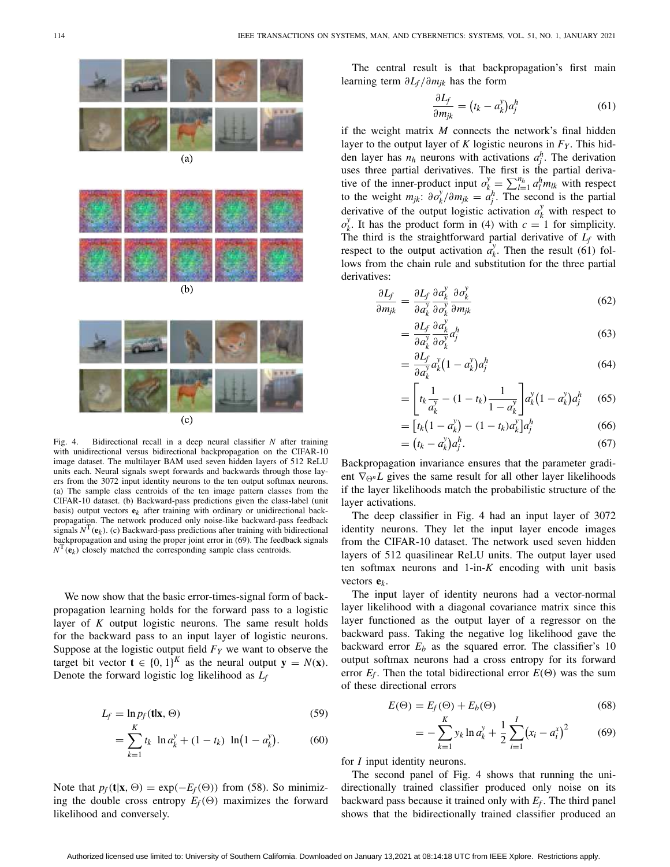

Fig. 4. Bidirectional recall in a deep neural classifier *N* after training with unidirectional versus bidirectional backpropagation on the CIFAR-10 image dataset. The multilayer BAM used seven hidden layers of 512 ReLU units each. Neural signals swept forwards and backwards through those layers from the 3072 input identity neurons to the ten output softmax neurons. (a) The sample class centroids of the ten image pattern classes from the CIFAR-10 dataset. (b) Backward-pass predictions given the class-label (unit basis) output vectors  $e_k$  after training with ordinary or unidirectional backpropagation. The network produced only noise-like backward-pass feedback signals  $N^{\mathrm{T}}(\mathbf{e}_k)$ . (c) Backward-pass predictions after training with bidirectional backpropagation and using the proper joint error in [\(69\)](#page-11-2). The feedback signals  $N^{\text{T}}(\mathbf{e}_k)$  closely matched the corresponding sample class centroids.

<span id="page-11-0"></span> $(c)$ 

We now show that the basic error-times-signal form of backpropagation learning holds for the forward pass to a logistic layer of *K* output logistic neurons. The same result holds for the backward pass to an input layer of logistic neurons. Suppose at the logistic output field  $F<sub>Y</sub>$  we want to observe the target bit vector  $\mathbf{t} \in \{0, 1\}^K$  as the neural output  $\mathbf{y} = N(\mathbf{x})$ . Denote the forward logistic log likelihood as *Lf*

$$
L_f = \ln p_f(\mathbf{t}|\mathbf{x}, \Theta) \tag{59}
$$

$$
= \sum_{k=1}^{K} t_k \ln a_k^y + (1 - t_k) \ln(1 - a_k^y). \tag{60}
$$

Note that  $p_f(\mathbf{t}|\mathbf{x}, \Theta) = \exp(-E_f(\Theta))$  from [\(58\)](#page-10-1). So minimizing the double cross entropy  $E_f(\Theta)$  maximizes the forward likelihood and conversely.

The central result is that backpropagation's first main learning term ∂*Lf* /∂*mjk* has the form

<span id="page-11-1"></span>
$$
\frac{\partial L_f}{\partial m_{jk}} = (t_k - a_k^{\gamma}) a_j^h \tag{61}
$$

if the weight matrix *M* connects the network's final hidden layer to the output layer of  $K$  logistic neurons in  $F_Y$ . This hidden layer has  $n_h$  neurons with activations  $a_j^h$ . The derivation uses three partial derivatives. The first is the partial derivative of the inner-product input  $o_{k}^{y} = \sum_{l=1}^{n_h} a_l^h m_k^h$  with respect to the weight  $m_{jk}$ :  $\partial o_k^y / \partial m_{jk} = a_j^h$ . The second is the partial derivative of the output logistic activation  $a_k^y$  with respect to  $o_k^y$ . It has the product form in [\(4\)](#page-2-3) with  $c = 1$  for simplicity. The third is the straightforward partial derivative of  $L_f$  with respect to the output activation  $a_k^y$ . Then the result [\(61\)](#page-11-1) follows from the chain rule and substitution for the three partial derivatives:

$$
\frac{\partial L_f}{\partial m_{jk}} = \frac{\partial L_f}{\partial a_k^{\gamma}} \frac{\partial a_k^{\gamma}}{\partial o_k^{\gamma}} \frac{\partial o_k^{\gamma}}{\partial m_{jk}}
$$
(62)

$$
=\frac{\partial L_f}{\partial a_k^{\gamma}} \frac{\partial a_k^{\gamma}}{\partial o_k^{\gamma}} a_j^h \tag{63}
$$

$$
=\frac{\partial L_f}{\partial a_k^{\gamma}}a_k^{\gamma}(1-a_k^{\gamma})a_j^h\tag{64}
$$

$$
= \left[ t_k \frac{1}{a_k^y} - (1 - t_k) \frac{1}{1 - a_k^y} \right] a_k^y (1 - a_k^y) a_j^h \tag{65}
$$

$$
= [t_k(1 - a_k^y) - (1 - t_k)a_k^y]a_j^h
$$
\n(66)

$$
= (t_k - a_k^{\nu}) a_j^h. \tag{67}
$$

Backpropagation invariance ensures that the parameter gradient  $\nabla_{\Theta^n}L$  gives the same result for all other layer likelihoods if the layer likelihoods match the probabilistic structure of the layer activations.

The deep classifier in Fig. [4](#page-11-0) had an input layer of 3072 identity neurons. They let the input layer encode images from the CIFAR-10 dataset. The network used seven hidden layers of 512 quasilinear ReLU units. The output layer used ten softmax neurons and 1-in-*K* encoding with unit basis vectors **e***k*.

The input layer of identity neurons had a vector-normal layer likelihood with a diagonal covariance matrix since this layer functioned as the output layer of a regressor on the backward pass. Taking the negative log likelihood gave the backward error  $E_b$  as the squared error. The classifier's 10 output softmax neurons had a cross entropy for its forward error  $E_f$ . Then the total bidirectional error  $E(\Theta)$  was the sum of these directional errors

<span id="page-11-2"></span>
$$
E(\Theta) = E_f(\Theta) + E_b(\Theta) \tag{68}
$$

$$
= -\sum_{k=1}^{K} y_k \ln a_k^y + \frac{1}{2} \sum_{i=1}^{I} (x_i - a_i^x)^2 \tag{69}
$$

for *I* input identity neurons.

The second panel of Fig. [4](#page-11-0) shows that running the unidirectionally trained classifier produced only noise on its backward pass because it trained only with  $E_f$ . The third panel shows that the bidirectionally trained classifier produced an